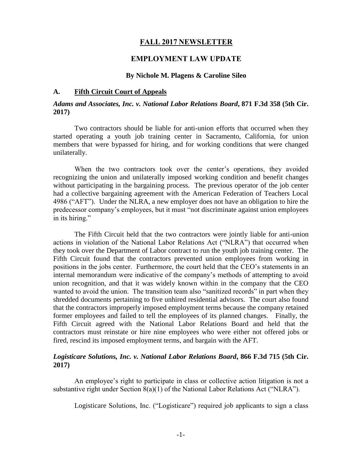## **FALL 2017 NEWSLETTER**

# **EMPLOYMENT LAW UPDATE**

#### **By Nichole M. Plagens & Caroline Sileo**

## **A. Fifth Circuit Court of Appeals**

## *Adams and Associates, Inc. v. National Labor Relations Board***, 871 F.3d 358 (5th Cir. 2017)**

Two contractors should be liable for anti-union efforts that occurred when they started operating a youth job training center in Sacramento, California, for union members that were bypassed for hiring, and for working conditions that were changed unilaterally.

When the two contractors took over the center's operations, they avoided recognizing the union and unilaterally imposed working condition and benefit changes without participating in the bargaining process. The previous operator of the job center had a collective bargaining agreement with the American Federation of Teachers Local 4986 ("AFT"). Under the NLRA, a new employer does not have an obligation to hire the predecessor company's employees, but it must "not discriminate against union employees in its hiring."

The Fifth Circuit held that the two contractors were jointly liable for anti-union actions in violation of the National Labor Relations Act ("NLRA") that occurred when they took over the Department of Labor contract to run the youth job training center. The Fifth Circuit found that the contractors prevented union employees from working in positions in the jobs center. Furthermore, the court held that the CEO's statements in an internal memorandum were indicative of the company's methods of attempting to avoid union recognition, and that it was widely known within in the company that the CEO wanted to avoid the union. The transition team also "sanitized records" in part when they shredded documents pertaining to five unhired residential advisors. The court also found that the contractors improperly imposed employment terms because the company retained former employees and failed to tell the employees of its planned changes. Finally, the Fifth Circuit agreed with the National Labor Relations Board and held that the contractors must reinstate or hire nine employees who were either not offered jobs or fired, rescind its imposed employment terms, and bargain with the AFT.

## *Logisticare Solutions, Inc. v. National Labor Relations Board***, 866 F.3d 715 (5th Cir. 2017)**

An employee's right to participate in class or collective action litigation is not a substantive right under Section 8(a)(1) of the National Labor Relations Act ("NLRA").

Logisticare Solutions, Inc. ("Logisticare") required job applicants to sign a class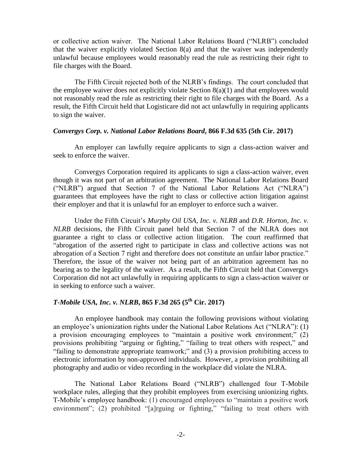or collective action waiver. The National Labor Relations Board ("NLRB") concluded that the waiver explicitly violated Section 8(a) and that the waiver was independently unlawful because employees would reasonably read the rule as restricting their right to file charges with the Board.

The Fifth Circuit rejected both of the NLRB's findings. The court concluded that the employee waiver does not explicitly violate Section  $8(a)(1)$  and that employees would not reasonably read the rule as restricting their right to file charges with the Board. As a result, the Fifth Circuit held that Logisticare did not act unlawfully in requiring applicants to sign the waiver.

#### *Convergys Corp. v. National Labor Relations Board***, 866 F.3d 635 (5th Cir. 2017)**

An employer can lawfully require applicants to sign a class-action waiver and seek to enforce the waiver.

Convergys Corporation required its applicants to sign a class-action waiver, even though it was not part of an arbitration agreement. The National Labor Relations Board ("NLRB") argued that Section 7 of the National Labor Relations Act ("NLRA") guarantees that employees have the right to class or collective action litigation against their employer and that it is unlawful for an employer to enforce such a waiver.

Under the Fifth Circuit's *Murphy Oil USA, Inc. v. NLRB* and *D.R. Horton, Inc. v. NLRB* decisions, the Fifth Circuit panel held that Section 7 of the NLRA does not guarantee a right to class or collective action litigation. The court reaffirmed that "abrogation of the asserted right to participate in class and collective actions was not abrogation of a Section 7 right and therefore does not constitute an unfair labor practice." Therefore, the issue of the waiver not being part of an arbitration agreement has no bearing as to the legality of the waiver. As a result, the Fifth Circuit held that Convergys Corporation did not act unlawfully in requiring applicants to sign a class-action waiver or in seeking to enforce such a waiver.

# *T-Mobile USA, Inc. v. NLRB***, 865 F.3d 265 (5th Cir. 2017)**

An employee handbook may contain the following provisions without violating an employee's unionization rights under the National Labor Relations Act ("NLRA"): (1) a provision encouraging employees to "maintain a positive work environment;" (2) provisions prohibiting "arguing or fighting," "failing to treat others with respect," and "failing to demonstrate appropriate teamwork;" and (3) a provision prohibiting access to electronic information by non-approved individuals. However, a provision prohibiting all photography and audio or video recording in the workplace did violate the NLRA.

The National Labor Relations Board ("NLRB") challenged four T-Mobile workplace rules, alleging that they prohibit employees from exercising unionizing rights. T-Mobile's employee handbook: (1) encouraged employees to "maintain a positive work environment"; (2) prohibited "[a]rguing or fighting," "failing to treat others with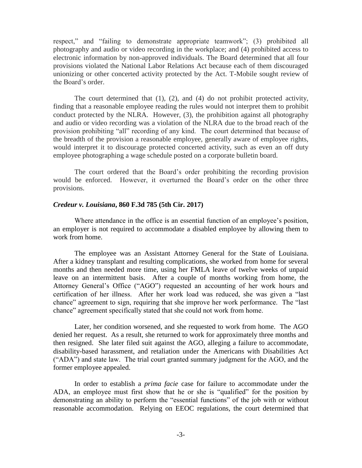respect," and "failing to demonstrate appropriate teamwork"; (3) prohibited all photography and audio or video recording in the workplace; and (4) prohibited access to electronic information by non-approved individuals. The Board determined that all four provisions violated the National Labor Relations Act because each of them discouraged unionizing or other concerted activity protected by the Act. T-Mobile sought review of the Board's order.

The court determined that (1), (2), and (4) do not prohibit protected activity, finding that a reasonable employee reading the rules would not interpret them to prohibit conduct protected by the NLRA. However, (3), the prohibition against all photography and audio or video recording was a violation of the NLRA due to the broad reach of the provision prohibiting "all" recording of any kind. The court determined that because of the breadth of the provision a reasonable employee, generally aware of employee rights, would interpret it to discourage protected concerted activity, such as even an off duty employee photographing a wage schedule posted on a corporate bulletin board.

The court ordered that the Board's order prohibiting the recording provision would be enforced. However, it overturned the Board's order on the other three provisions.

## *Credeur v. Louisiana***, 860 F.3d 785 (5th Cir. 2017)**

Where attendance in the office is an essential function of an employee's position, an employer is not required to accommodate a disabled employee by allowing them to work from home.

The employee was an Assistant Attorney General for the State of Louisiana. After a kidney transplant and resulting complications, she worked from home for several months and then needed more time, using her FMLA leave of twelve weeks of unpaid leave on an intermittent basis. After a couple of months working from home, the Attorney General's Office ("AGO") requested an accounting of her work hours and certification of her illness. After her work load was reduced, she was given a "last chance" agreement to sign, requiring that she improve her work performance. The "last chance" agreement specifically stated that she could not work from home.

Later, her condition worsened, and she requested to work from home. The AGO denied her request. As a result, she returned to work for approximately three months and then resigned. She later filed suit against the AGO, alleging a failure to accommodate, disability-based harassment, and retaliation under the Americans with Disabilities Act ("ADA") and state law. The trial court granted summary judgment for the AGO, and the former employee appealed.

In order to establish a *prima facie* case for failure to accommodate under the ADA, an employee must first show that he or she is "qualified" for the position by demonstrating an ability to perform the "essential functions" of the job with or without reasonable accommodation. Relying on EEOC regulations, the court determined that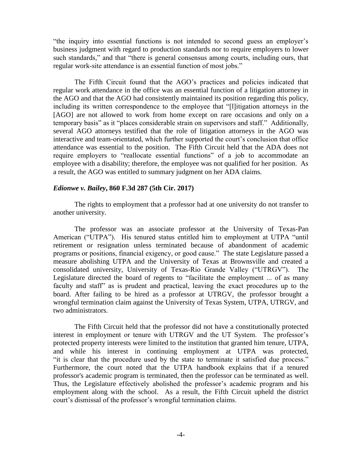"the inquiry into essential functions is not intended to second guess an employer's business judgment with regard to production standards nor to require employers to lower such standards," and that "there is general consensus among courts, including ours, that regular work-site attendance is an essential function of most jobs."

The Fifth Circuit found that the AGO's practices and policies indicated that regular work attendance in the office was an essential function of a litigation attorney in the AGO and that the AGO had consistently maintained its position regarding this policy, including its written correspondence to the employee that "[l]itigation attorneys in the [AGO] are not allowed to work from home except on rare occasions and only on a temporary basis" as it "places considerable strain on supervisors and staff." Additionally, several AGO attorneys testified that the role of litigation attorneys in the AGO was interactive and team-orientated, which further supported the court's conclusion that office attendance was essential to the position. The Fifth Circuit held that the ADA does not require employers to "reallocate essential functions" of a job to accommodate an employee with a disability; therefore, the employee was not qualified for her position. As a result, the AGO was entitled to summary judgment on her ADA claims.

#### *Edionwe v. Bailey***, 860 F.3d 287 (5th Cir. 2017)**

The rights to employment that a professor had at one university do not transfer to another university.

The professor was an associate professor at the University of Texas-Pan American ("UTPA"). His tenured status entitled him to employment at UTPA "until retirement or resignation unless terminated because of abandonment of academic programs or positions, financial exigency, or good cause." The state Legislature passed a measure abolishing UTPA and the University of Texas at Brownsville and created a consolidated university, University of Texas-Rio Grande Valley ("UTRGV"). The Legislature directed the board of regents to "facilitate the employment ... of as many faculty and staff" as is prudent and practical, leaving the exact procedures up to the board. After failing to be hired as a professor at UTRGV, the professor brought a wrongful termination claim against the University of Texas System, UTPA, UTRGV, and two administrators.

The Fifth Circuit held that the professor did not have a constitutionally protected interest in employment or tenure with UTRGV and the UT System. The professor's protected property interests were limited to the institution that granted him tenure, UTPA, and while his interest in continuing employment at UTPA was protected, "it is clear that the procedure used by the state to terminate it satisfied due process." Furthermore, the court noted that the UTPA handbook explains that if a tenured professor's academic program is terminated, then the professor can be terminated as well. Thus, the Legislature effectively abolished the professor's academic program and his employment along with the school. As a result, the Fifth Circuit upheld the district court's dismissal of the professor's wrongful termination claims.